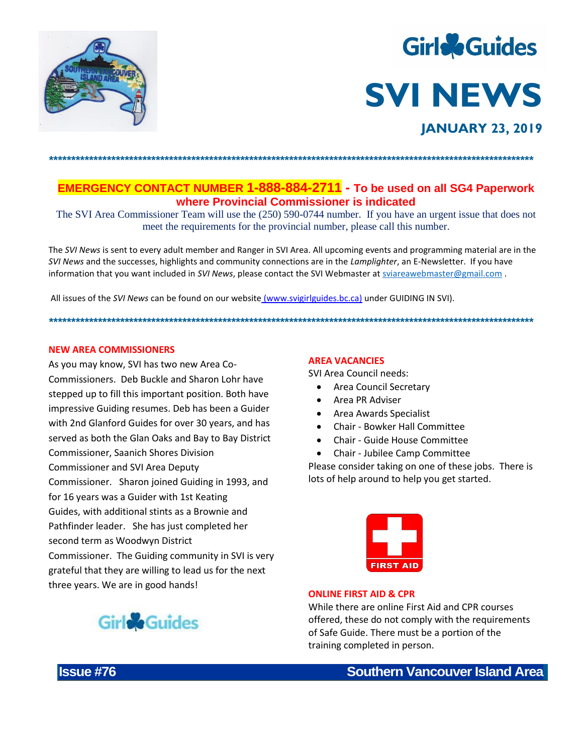



**EMERGENCY CONTACT NUMBER 1-888-884-2711** - To be used on all SG4 Paperwork where Provincial Commissioner is indicated

The SVI Area Commissioner Team will use the (250) 590-0744 number. If you have an urgent issue that does not meet the requirements for the provincial number, please call this number.

The SVI News is sent to every adult member and Ranger in SVI Area. All upcoming events and programming material are in the SVI News and the successes, highlights and community connections are in the Lamplighter, an E-Newsletter. If you have information that you want included in SVI News, please contact the SVI Webmaster at sviareawebmaster@gmail.com

All issues of the SVI News can be found on our website (www.svigirlguides.bc.ca) under GUIDING IN SVI).

## **NEW AREA COMMISSIONERS**

As you may know, SVI has two new Area Co-Commissioners. Deb Buckle and Sharon Lohr have stepped up to fill this important position. Both have impressive Guiding resumes. Deb has been a Guider with 2nd Glanford Guides for over 30 years, and has served as both the Glan Oaks and Bay to Bay District Commissioner, Saanich Shores Division **Commissioner and SVI Area Deputy** Commissioner. Sharon joined Guiding in 1993, and for 16 years was a Guider with 1st Keating Guides, with additional stints as a Brownie and Pathfinder leader. She has just completed her second term as Woodwyn District Commissioner. The Guiding community in SVI is very grateful that they are willing to lead us for the next



three years. We are in good hands!

# **AREA VACANCIES**

**SVI Area Council needs:** 

- Area Council Secretary
- Area PR Adviser
- Area Awards Specialist
- Chair Bowker Hall Committee
- Chair Guide House Committee
- Chair Jubilee Camp Committee

Please consider taking on one of these jobs. There is lots of help around to help you get started.



## **ONLINE FIRST AID & CPR**

While there are online First Aid and CPR courses offered, these do not comply with the requirements of Safe Guide. There must be a portion of the training completed in person.

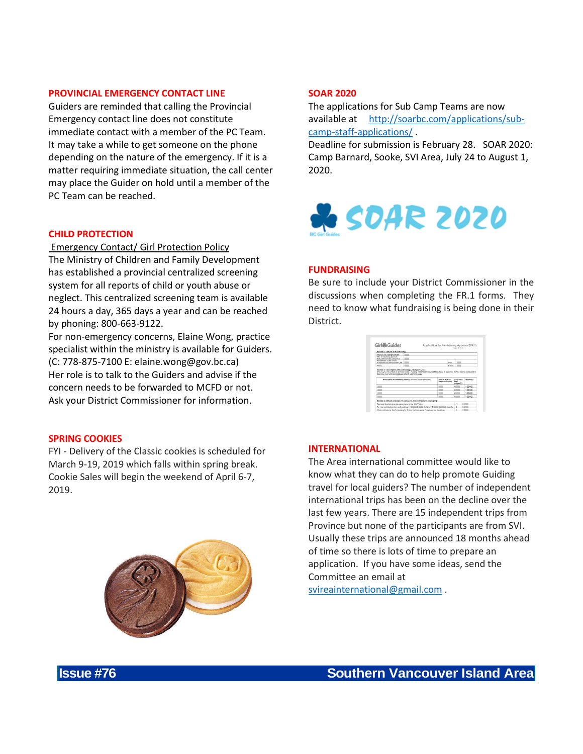## **PROVINCIAL EMERGENCY CONTACT LINE**

Guiders are reminded that calling the Provincial Emergency contact line does not constitute immediate contact with a member of the PC Team. It may take a while to get someone on the phone depending on the nature of the emergency. If it is a matter requiring immediate situation, the call center may place the Guider on hold until a member of the PC Team can be reached.

### **CHILD PROTECTION**

Emergency Contact/ Girl Protection Policy

The Ministry of Children and Family Development has established a provincial centralized screening system for all reports of child or youth abuse or neglect. This centralized screening team is available 24 hours a day, 365 days a year and can be reached by phoning: 800-663-9122.

For non-emergency concerns, Elaine Wong, practice specialist within the ministry is available for Guiders. (C: 778-875-7100 E: elaine.wong@gov.bc.ca) Her role is to talk to the Guiders and advise if the concern needs to be forwarded to MCFD or not. Ask your District Commissioner for information.

### **SPRING COOKIES**

FYI - Delivery of the Classic cookies is scheduled for March 9-19, 2019 which falls within spring break. Cookie Sales will begin the weekend of April 6-7, 2019.



# **SOAR 2020**

The applications for Sub Camp Teams are now available at [http://soarbc.com/applications/sub](http://soarbc.com/applications/sub-camp-staff-applications/)[camp-staff-applications/](http://soarbc.com/applications/sub-camp-staff-applications/) .

Deadline for submission is February 28. SOAR 2020: Camp Barnard, Sooke, SVI Area, July 24 to August 1, 2020.



### **FUNDRAISING**

Be sure to include your District Commissioner in the discussions when completing the FR.1 forms. They need to know what fundraising is being done in their District.



### **INTERNATIONAL**

The Area international committee would like to know what they can do to help promote Guiding travel for local guiders? The number of independent international trips has been on the decline over the last few years. There are 15 independent trips from Province but none of the participants are from SVI. Usually these trips are announced 18 months ahead of time so there is lots of time to prepare an application. If you have some ideas, send the Committee an email at

[svireainternational@gmail.com](mailto:svireainternational@gmail.com) .